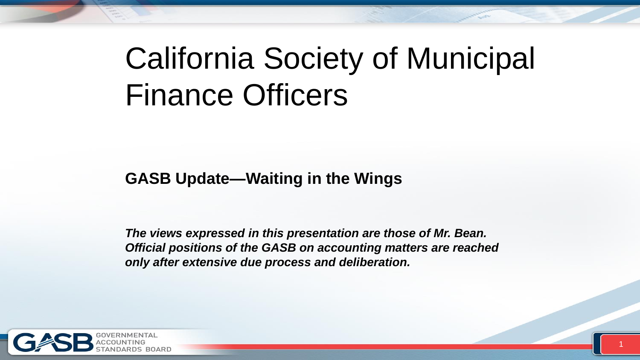# California Society of Municipal Finance Officers

#### **GASB Update—Waiting in the Wings**

*The views expressed in this presentation are those of Mr. Bean. Official positions of the GASB on accounting matters are reached only after extensive due process and deliberation.*

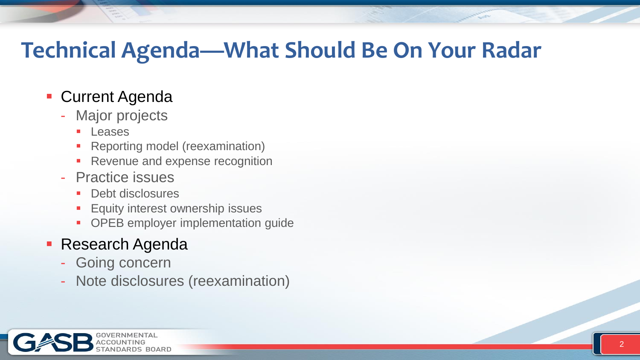### **Technical Agenda—What Should Be On Your Radar**

#### **- Current Agenda**

- Major projects
	- **Leases**
	- Reporting model (reexamination)
	- **Revenue and expense recognition**
- Practice issues
	- Debt disclosures
	- **Equity interest ownership issues**
	- OPEB employer implementation guide

#### **Research Agenda**

- Going concern
- Note disclosures (reexamination)

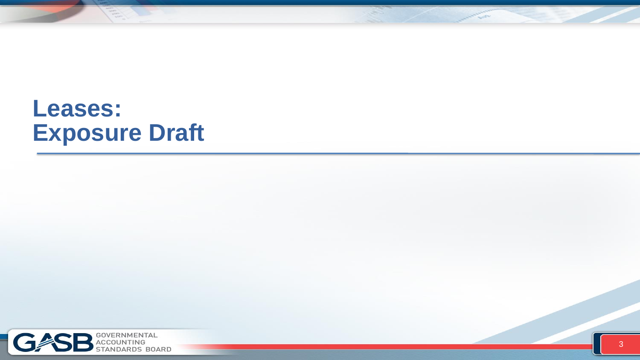### **Leases: Exposure Draft**

三



**Allen Branch**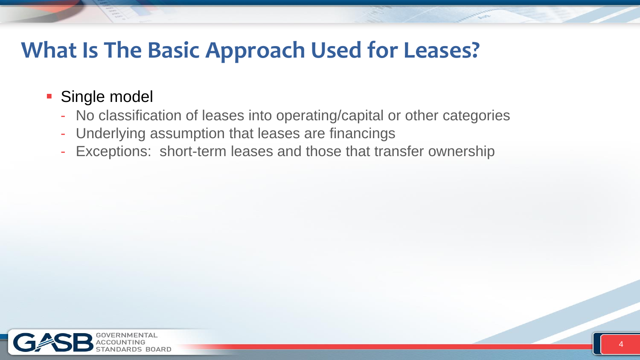### **What Is The Basic Approach Used for Leases?**

- **Single model** 
	- No classification of leases into operating/capital or other categories
	- Underlying assumption that leases are financings
	- Exceptions: short-term leases and those that transfer ownership

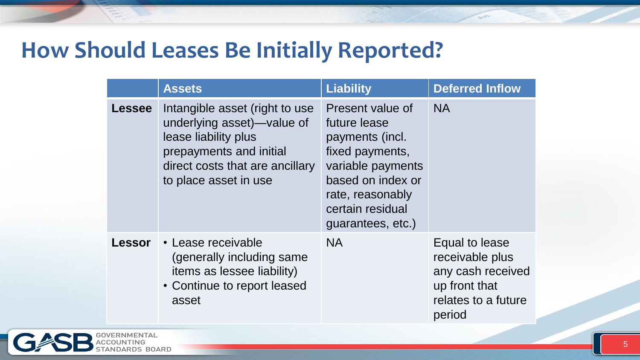### **How Should Leases Be Initially Reported?**

|               | <b>Assets</b>                                                                                                                                                               | <b>Liability</b>                                                                                                                                                              | <b>Deferred Inflow</b>                                                                                   |
|---------------|-----------------------------------------------------------------------------------------------------------------------------------------------------------------------------|-------------------------------------------------------------------------------------------------------------------------------------------------------------------------------|----------------------------------------------------------------------------------------------------------|
| <b>Lessee</b> | Intangible asset (right to use<br>underlying asset)—value of<br>lease liability plus<br>prepayments and initial<br>direct costs that are ancillary<br>to place asset in use | Present value of<br>future lease<br>payments (incl.<br>fixed payments,<br>variable payments<br>based on index or<br>rate, reasonably<br>certain residual<br>guarantees, etc.) | <b>NA</b>                                                                                                |
| Lessor        | • Lease receivable<br>(generally including same<br><i>items as lessee liability)</i><br>• Continue to report leased<br>asset                                                | <b>NA</b>                                                                                                                                                                     | Equal to lease<br>receivable plus<br>any cash received<br>up front that<br>relates to a future<br>period |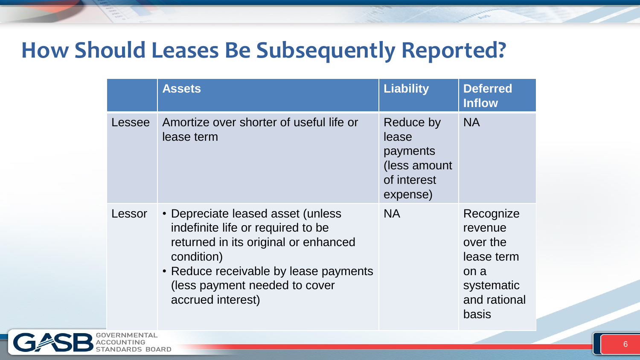### **How Should Leases Be Subsequently Reported?**

|        | <b>Assets</b>                                                                                                                                                                                                               | <b>Liability</b>                                                          | <b>Deferred</b><br><b>Inflow</b>                                                              |
|--------|-----------------------------------------------------------------------------------------------------------------------------------------------------------------------------------------------------------------------------|---------------------------------------------------------------------------|-----------------------------------------------------------------------------------------------|
| Lessee | Amortize over shorter of useful life or<br>lease term                                                                                                                                                                       | Reduce by<br>lease<br>payments<br>(less amount<br>of interest<br>expense) | <b>NA</b>                                                                                     |
| Lessor | • Depreciate leased asset (unless<br>indefinite life or required to be<br>returned in its original or enhanced<br>condition)<br>• Reduce receivable by lease payments<br>(less payment needed to cover<br>accrued interest) | <b>NA</b>                                                                 | Recognize<br>revenue<br>over the<br>lease term<br>on a<br>systematic<br>and rational<br>basis |

OARD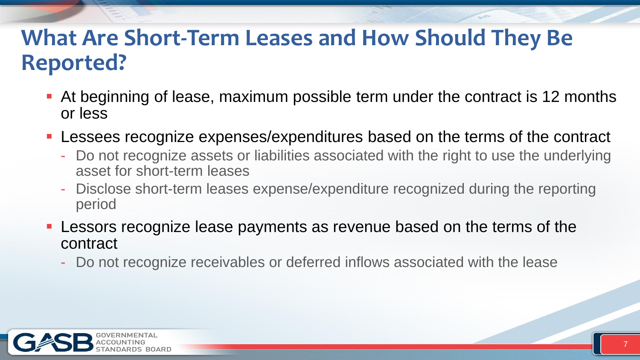### **What Are Short-Term Leases and How Should They Be Reported?**

- At beginning of lease, maximum possible term under the contract is 12 months or less
- **Lessees recognize expenses/expenditures based on the terms of the contract** 
	- Do not recognize assets or liabilities associated with the right to use the underlying asset for short-term leases
	- Disclose short-term leases expense/expenditure recognized during the reporting period
- Lessors recognize lease payments as revenue based on the terms of the contract
	- Do not recognize receivables or deferred inflows associated with the lease

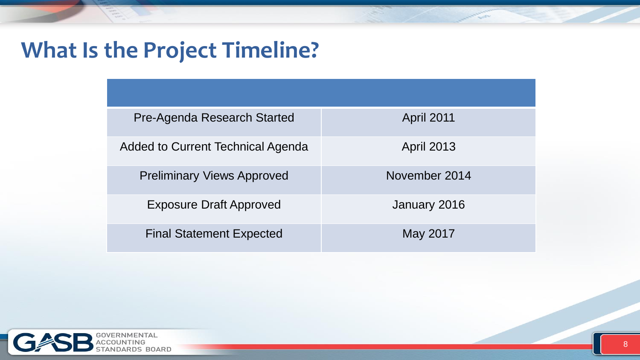### **What Is the Project Timeline?**

| <b>Pre-Agenda Research Started</b> | <b>April 2011</b> |
|------------------------------------|-------------------|
| Added to Current Technical Agenda  | <b>April 2013</b> |
| <b>Preliminary Views Approved</b>  | November 2014     |
| <b>Exposure Draft Approved</b>     | January 2016      |
| <b>Final Statement Expected</b>    | May 2017          |

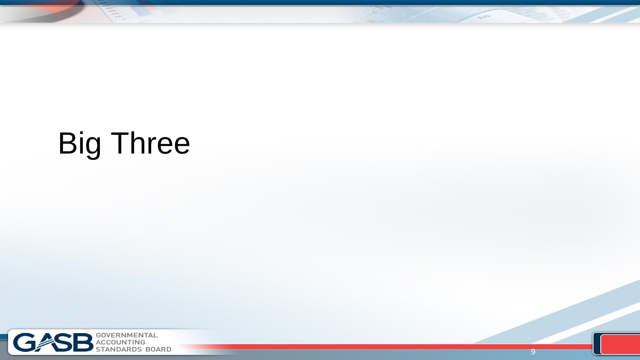# Big Three

 $\frac{1}{\sqrt{2}}$ 

9

**Antique** 

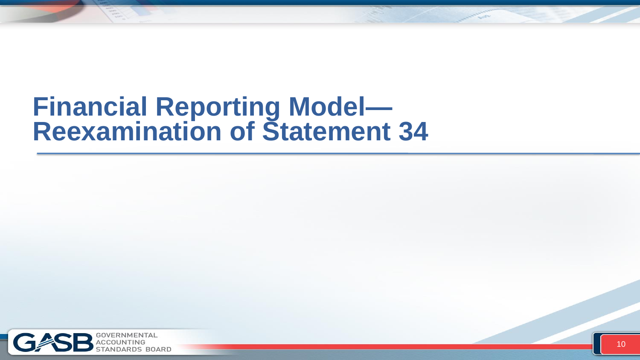## **Financial Reporting Model— Reexamination of Statement 34**

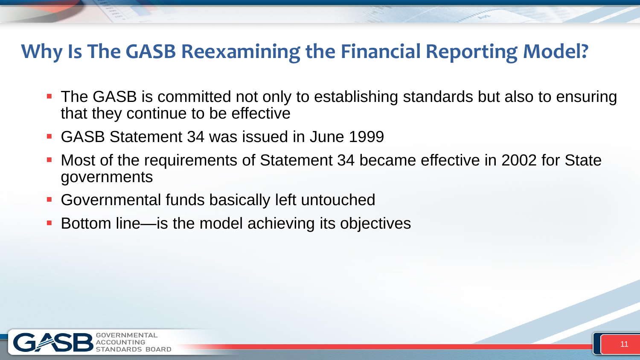### **Why Is The GASB Reexamining the Financial Reporting Model?**

- **The GASB is committed not only to establishing standards but also to ensuring** that they continue to be effective
- GASB Statement 34 was issued in June 1999
- Most of the requirements of Statement 34 became effective in 2002 for State governments
- Governmental funds basically left untouched
- Bottom line—is the model achieving its objectives

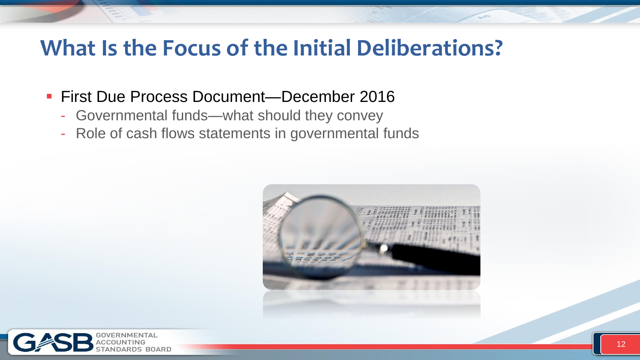### **What Is the Focus of the Initial Deliberations?**

- **First Due Process Document—December 2016** 
	- Governmental funds—what should they convey
	- Role of cash flows statements in governmental funds



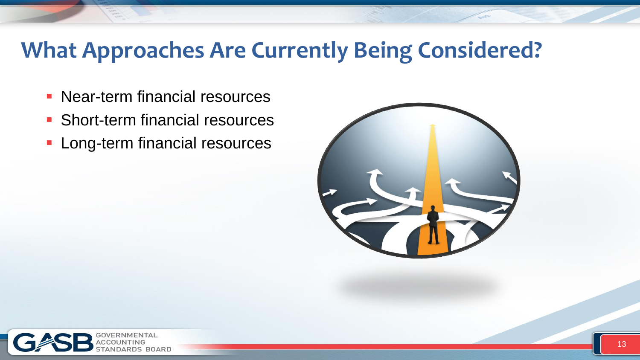### **What Approaches Are Currently Being Considered?**

- **Near-term financial resources**
- **Short-term financial resources**
- **Long-term financial resources**



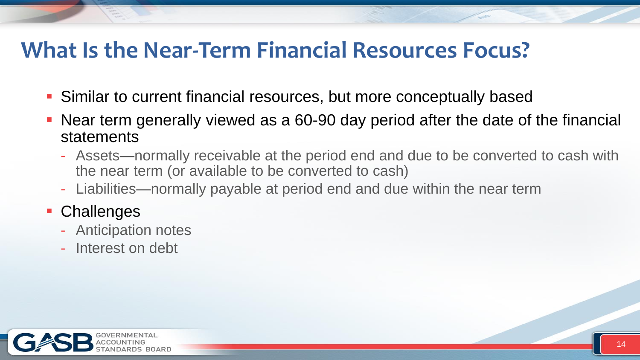### **What Is the Near-Term Financial Resources Focus?**

- Similar to current financial resources, but more conceptually based
- Near term generally viewed as a 60-90 day period after the date of the financial statements
	- Assets—normally receivable at the period end and due to be converted to cash with the near term (or available to be converted to cash)
	- Liabilities—normally payable at period end and due within the near term

#### **Challenges**

- Anticipation notes
- Interest on debt

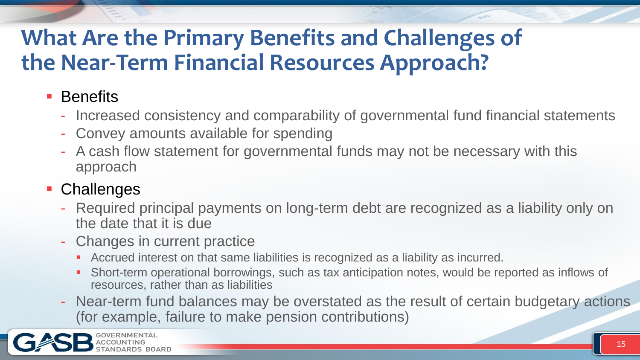### **What Are the Primary Benefits and Challenges of the Near-Term Financial Resources Approach?**

#### **Benefits**

- Increased consistency and comparability of governmental fund financial statements
- Convey amounts available for spending
- A cash flow statement for governmental funds may not be necessary with this approach

#### **Challenges**

- Required principal payments on long-term debt are recognized as a liability only on the date that it is due
- Changes in current practice
	- Accrued interest on that same liabilities is recognized as a liability as incurred.
	- Short-term operational borrowings, such as tax anticipation notes, would be reported as inflows of resources, rather than as liabilities
- Near-term fund balances may be overstated as the result of certain budgetary actions (for example, failure to make pension contributions)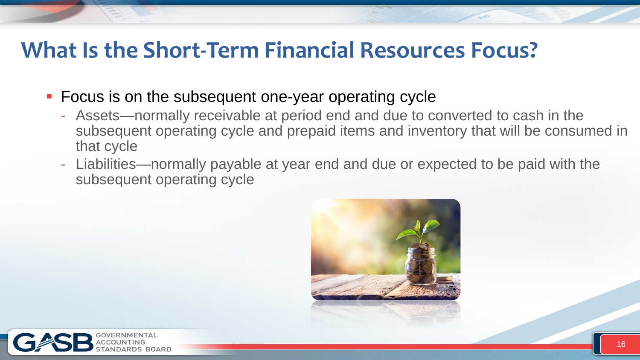### **What Is the Short-Term Financial Resources Focus?**

- **Focus is on the subsequent one-year operating cycle** 
	- Assets—normally receivable at period end and due to converted to cash in the subsequent operating cycle and prepaid items and inventory that will be consumed in that cycle
	- Liabilities—normally payable at year end and due or expected to be paid with the subsequent operating cycle



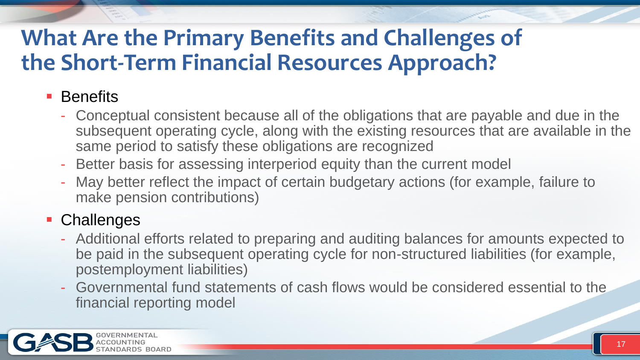### **What Are the Primary Benefits and Challenges of the Short-Term Financial Resources Approach?**

#### **Benefits**

- Conceptual consistent because all of the obligations that are payable and due in the subsequent operating cycle, along with the existing resources that are available in the same period to satisfy these obligations are recognized
- Better basis for assessing interperiod equity than the current model
- May better reflect the impact of certain budgetary actions (for example, failure to make pension contributions)

#### **Challenges**

- Additional efforts related to preparing and auditing balances for amounts expected to be paid in the subsequent operating cycle for non-structured liabilities (for example, postemployment liabilities)
- Governmental fund statements of cash flows would be considered essential to the financial reporting model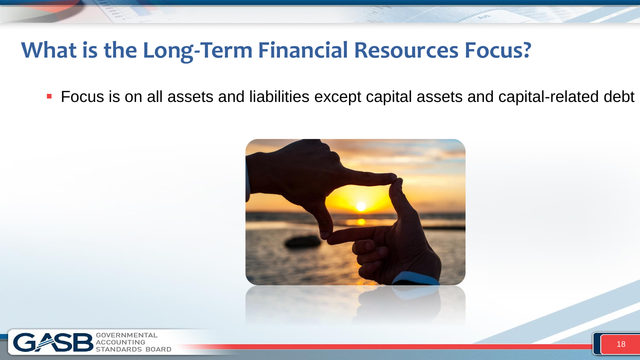### **What is the Long-Term Financial Resources Focus?**

**FICUM** Focus is on all assets and liabilities except capital assets and capital-related debt



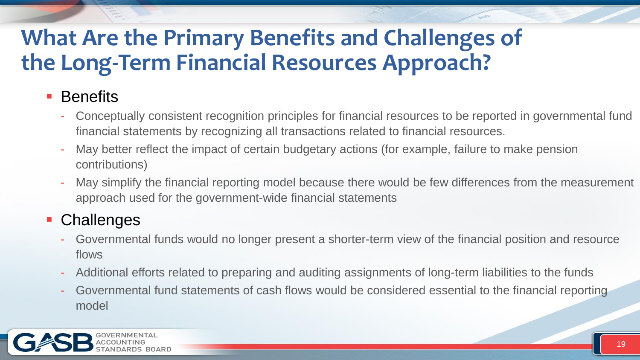### **What Are the Primary Benefits and Challenges of the Long-Term Financial Resources Approach?**

#### **Benefits**

- Conceptually consistent recognition principles for financial resources to be reported in governmental fund financial statements by recognizing all transactions related to financial resources.
- May better reflect the impact of certain budgetary actions (for example, failure to make pension contributions)
- May simplify the financial reporting model because there would be few differences from the measurement approach used for the government-wide financial statements

#### **Challenges**

- Governmental funds would no longer present a shorter-term view of the financial position and resource flows
- Additional efforts related to preparing and auditing assignments of long-term liabilities to the funds
- Governmental fund statements of cash flows would be considered essential to the financial reporting model

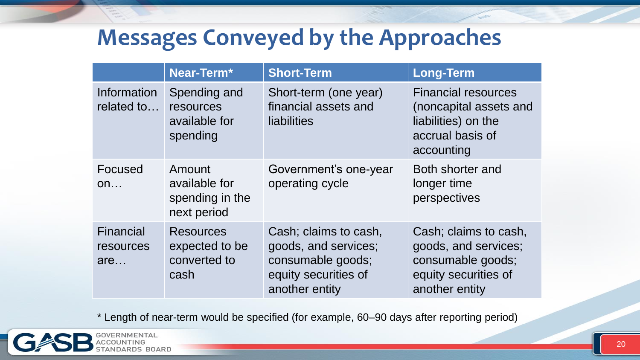### **Messages Conveyed by the Approaches**

|                               | Near-Term*                                                 | <b>Short-Term</b>                                                                                            | <b>Long-Term</b>                                                                                              |
|-------------------------------|------------------------------------------------------------|--------------------------------------------------------------------------------------------------------------|---------------------------------------------------------------------------------------------------------------|
| Information<br>related to     | Spending and<br>resources<br>available for<br>spending     | Short-term (one year)<br>financial assets and<br>liabilities                                                 | <b>Financial resources</b><br>(noncapital assets and<br>liabilities) on the<br>accrual basis of<br>accounting |
| Focused<br>On                 | Amount<br>available for<br>spending in the<br>next period  | Government's one-year<br>operating cycle                                                                     | Both shorter and<br>longer time<br>perspectives                                                               |
| Financial<br>resources<br>are | <b>Resources</b><br>expected to be<br>converted to<br>cash | Cash; claims to cash,<br>goods, and services;<br>consumable goods;<br>equity securities of<br>another entity | Cash; claims to cash,<br>goods, and services;<br>consumable goods;<br>equity securities of<br>another entity  |

\* Length of near-term would be specified (for example, 60–90 days after reporting period)

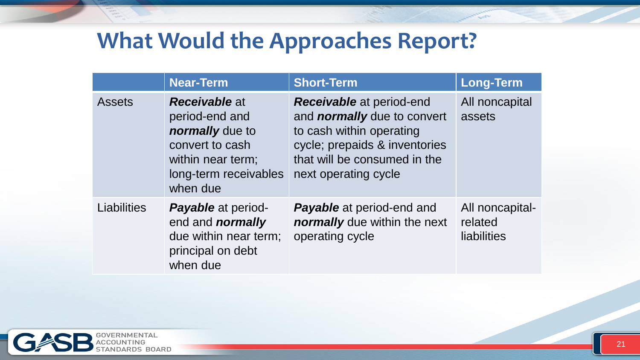### **What Would the Approaches Report?**

|                    | <b>Near-Term</b>                                                                                                                       | <b>Short-Term</b>                                                                                                                                                                          | <b>Long-Term</b>                          |
|--------------------|----------------------------------------------------------------------------------------------------------------------------------------|--------------------------------------------------------------------------------------------------------------------------------------------------------------------------------------------|-------------------------------------------|
| <b>Assets</b>      | <b>Receivable at</b><br>period-end and<br>normally due to<br>convert to cash<br>within near term;<br>long-term receivables<br>when due | <b>Receivable</b> at period-end<br>and <i>normally</i> due to convert<br>to cash within operating<br>cycle; prepaids & inventories<br>that will be consumed in the<br>next operating cycle | All noncapital<br>assets                  |
| <b>Liabilities</b> | <b>Payable</b> at period-<br>end and <i>normally</i><br>due within near term;<br>principal on debt<br>when due                         | <b>Payable</b> at period-end and<br><b>normally</b> due within the next<br>operating cycle                                                                                                 | All noncapital-<br>related<br>liabilities |

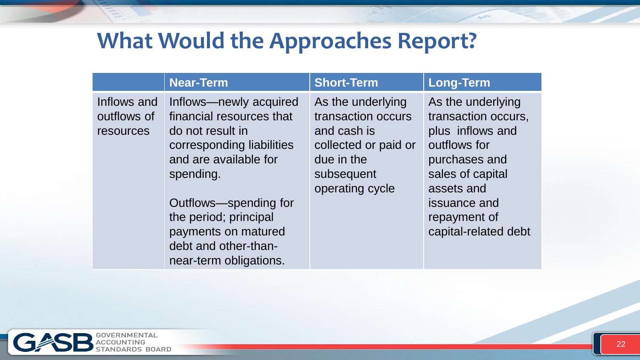### **What Would the Approaches Report?**

|                                         | <b>Near-Term</b>                                                                                                                                                                                                                                                     | <b>Short-Term</b>                                                                                                             | <b>Long-Term</b>                                                                                                                                                                        |
|-----------------------------------------|----------------------------------------------------------------------------------------------------------------------------------------------------------------------------------------------------------------------------------------------------------------------|-------------------------------------------------------------------------------------------------------------------------------|-----------------------------------------------------------------------------------------------------------------------------------------------------------------------------------------|
| Inflows and<br>outflows of<br>resources | Inflows—newly acquired<br>financial resources that<br>do not result in<br>corresponding liabilities<br>and are available for<br>spending.<br>Outflows-spending for<br>the period; principal<br>payments on matured<br>debt and other-than-<br>near-term obligations. | As the underlying<br>transaction occurs<br>and cash is<br>collected or paid or<br>due in the<br>subsequent<br>operating cycle | As the underlying<br>transaction occurs,<br>plus inflows and<br>outflows for<br>purchases and<br>sales of capital<br>assets and<br>issuance and<br>repayment of<br>capital-related debt |

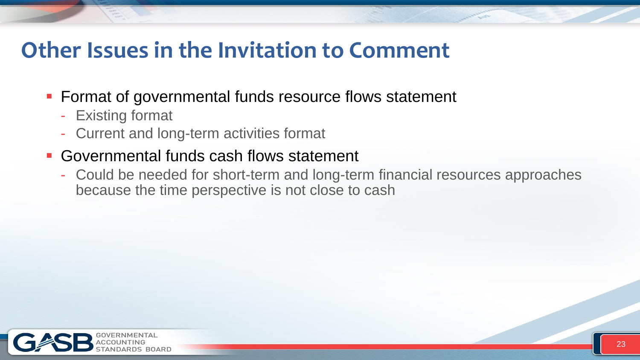### **Other Issues in the Invitation to Comment**

- **Format of governmental funds resource flows statement** 
	- Existing format
	- Current and long-term activities format
- Governmental funds cash flows statement
	- Could be needed for short-term and long-term financial resources approaches because the time perspective is not close to cash

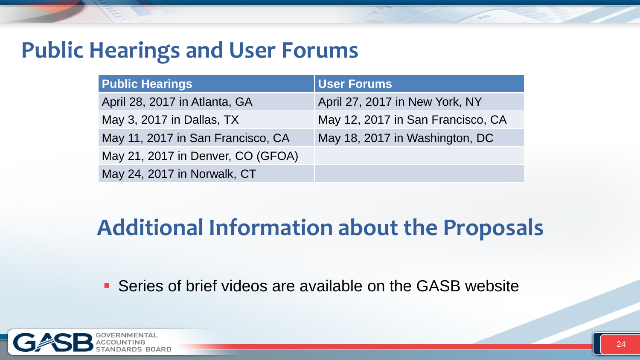### **Public Hearings and User Forums**

| <b>Public Hearings</b>            | <b>User Forums</b>                |
|-----------------------------------|-----------------------------------|
| April 28, 2017 in Atlanta, GA     | April 27, 2017 in New York, NY    |
| May 3, 2017 in Dallas, TX         | May 12, 2017 in San Francisco, CA |
| May 11, 2017 in San Francisco, CA | May 18, 2017 in Washington, DC    |
| May 21, 2017 in Denver, CO (GFOA) |                                   |
| May 24, 2017 in Norwalk, CT       |                                   |

### **Additional Information about the Proposals**

Series of brief videos are available on the GASB website

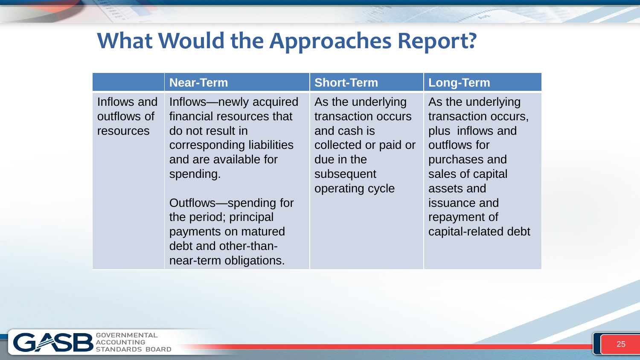### **What Would the Approaches Report?**

|                                         | <b>Near-Term</b>                                                                                                                                                                                                                                                     | <b>Short-Term</b>                                                                                                             | <b>Long-Term</b>                                                                                                                                                                        |
|-----------------------------------------|----------------------------------------------------------------------------------------------------------------------------------------------------------------------------------------------------------------------------------------------------------------------|-------------------------------------------------------------------------------------------------------------------------------|-----------------------------------------------------------------------------------------------------------------------------------------------------------------------------------------|
| Inflows and<br>outflows of<br>resources | Inflows—newly acquired<br>financial resources that<br>do not result in<br>corresponding liabilities<br>and are available for<br>spending.<br>Outflows-spending for<br>the period; principal<br>payments on matured<br>debt and other-than-<br>near-term obligations. | As the underlying<br>transaction occurs<br>and cash is<br>collected or paid or<br>due in the<br>subsequent<br>operating cycle | As the underlying<br>transaction occurs,<br>plus inflows and<br>outflows for<br>purchases and<br>sales of capital<br>assets and<br>issuance and<br>repayment of<br>capital-related debt |

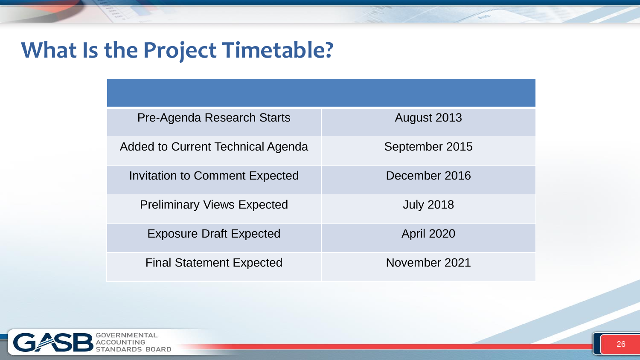## **What Is the Project Timetable?**

| Pre-Agenda Research Starts            | August 2013       |
|---------------------------------------|-------------------|
| Added to Current Technical Agenda     | September 2015    |
| <b>Invitation to Comment Expected</b> | December 2016     |
| <b>Preliminary Views Expected</b>     | <b>July 2018</b>  |
| <b>Exposure Draft Expected</b>        | <b>April 2020</b> |
| <b>Final Statement Expected</b>       | November 2021     |

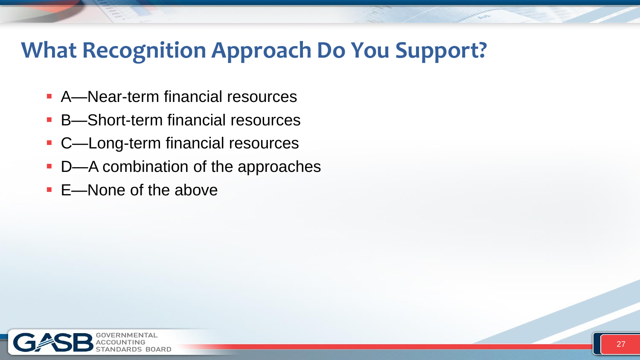### **What Recognition Approach Do You Support?**

- A—Near-term financial resources
- B—Short-term financial resources
- C—Long-term financial resources
- **D**—A combination of the approaches
- E—None of the above

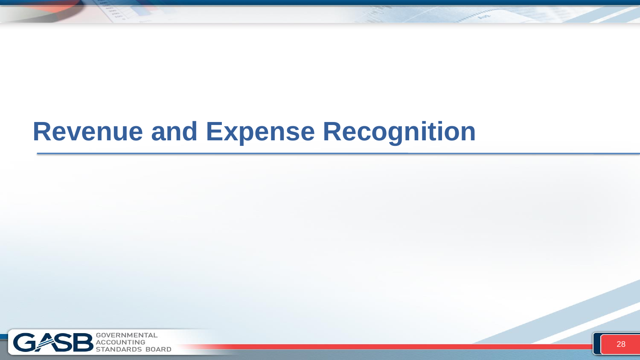# **Revenue and Expense Recognition**

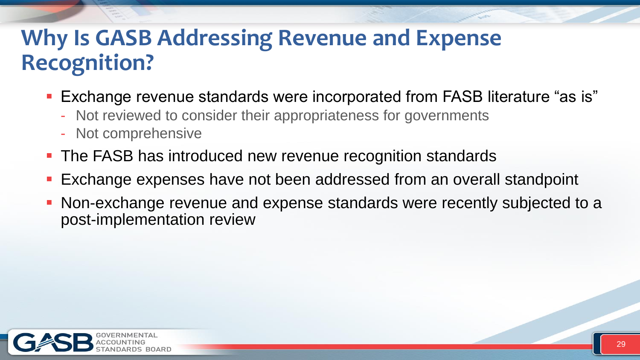### **Why Is GASB Addressing Revenue and Expense Recognition?**

- **Exchange revenue standards were incorporated from FASB literature "as is"** 
	- Not reviewed to consider their appropriateness for governments
	- Not comprehensive
- **The FASB has introduced new revenue recognition standards**
- **Exchange expenses have not been addressed from an overall standpoint**
- Non-exchange revenue and expense standards were recently subjected to a post-implementation review

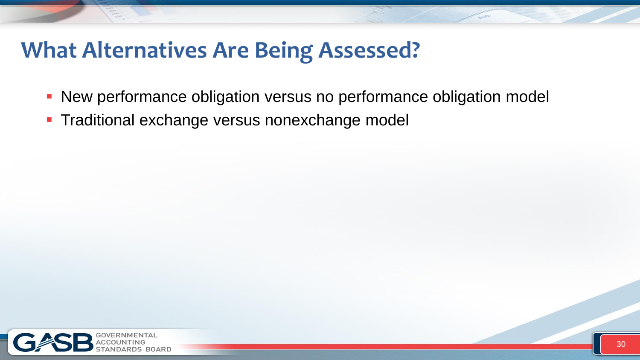### **What Alternatives Are Being Assessed?**

- New performance obligation versus no performance obligation model
- **Traditional exchange versus nonexchange model**

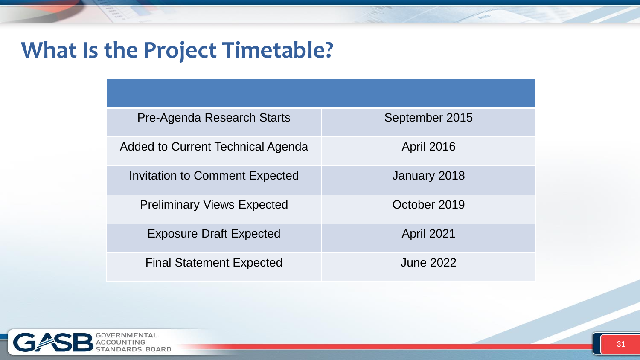## **What Is the Project Timetable?**

| <b>Pre-Agenda Research Starts</b>     | September 2015    |
|---------------------------------------|-------------------|
| Added to Current Technical Agenda     | <b>April 2016</b> |
| <b>Invitation to Comment Expected</b> | January 2018      |
| <b>Preliminary Views Expected</b>     | October 2019      |
| <b>Exposure Draft Expected</b>        | <b>April 2021</b> |
| <b>Final Statement Expected</b>       | June 2022         |

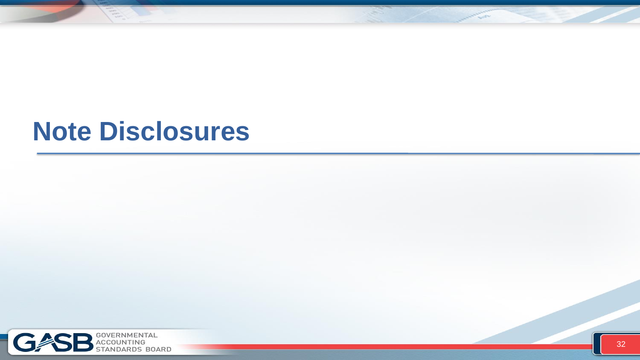# **Note Disclosures**

거



**Control**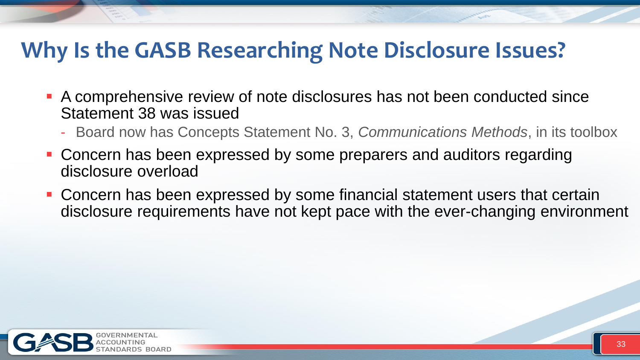### **Why Is the GASB Researching Note Disclosure Issues?**

- A comprehensive review of note disclosures has not been conducted since Statement 38 was issued
	- Board now has Concepts Statement No. 3, *Communications Methods*, in its toolbox
- Concern has been expressed by some preparers and auditors regarding disclosure overload
- Concern has been expressed by some financial statement users that certain disclosure requirements have not kept pace with the ever-changing environment

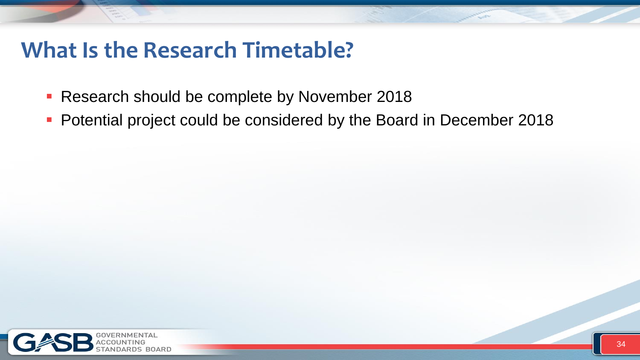### **What Is the Research Timetable?**

- **Research should be complete by November 2018**
- **Potential project could be considered by the Board in December 2018**

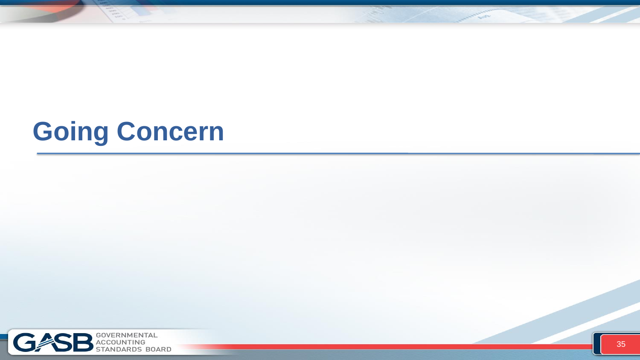# **Going Concern**



**Contractor**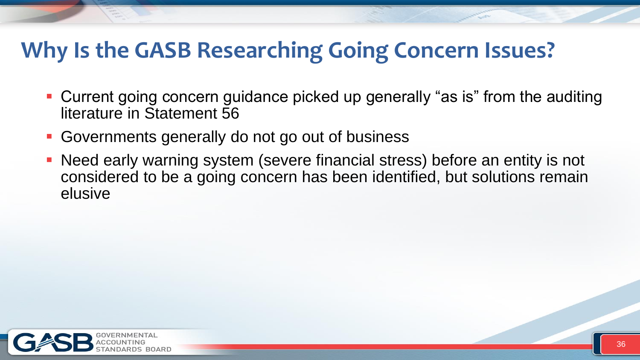### **Why Is the GASB Researching Going Concern Issues?**

- Current going concern guidance picked up generally "as is" from the auditing literature in Statement 56
- Governments generally do not go out of business
- Need early warning system (severe financial stress) before an entity is not considered to be a going concern has been identified, but solutions remain elusive

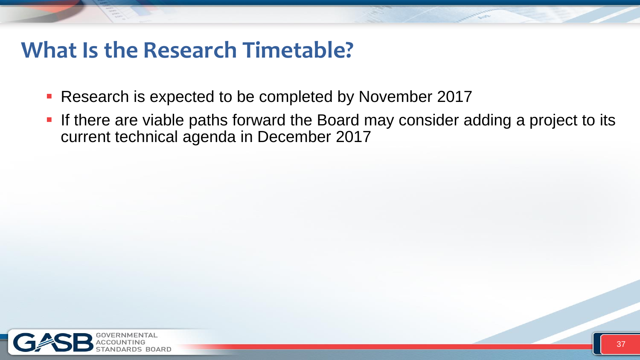### **What Is the Research Timetable?**

- **Research is expected to be completed by November 2017**
- **If there are viable paths forward the Board may consider adding a project to its** current technical agenda in December 2017